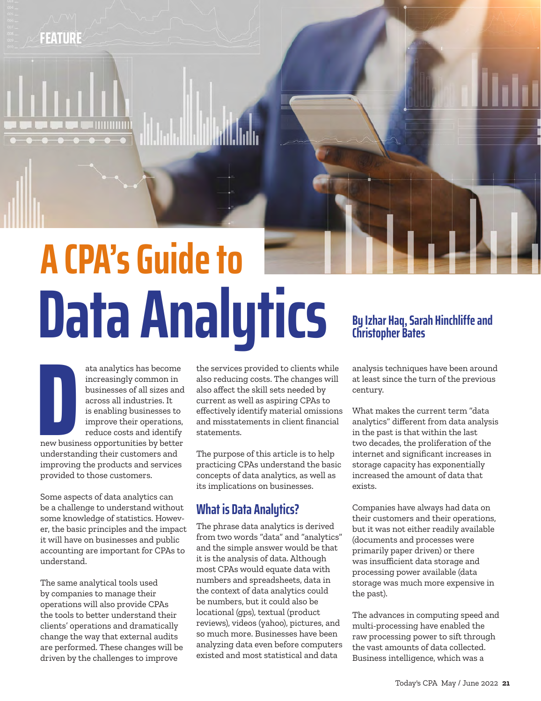## **FEATURE**

# **Data Analytics** By Izhar Haq, Sarah Hinchliffe and **A CPA's Guide to**

**D**<br>new busin<br>understan ata analytics has become increasingly common in businesses of all sizes and across all industries. It is enabling businesses to improve their operations, reduce costs and identify new business opportunities by better understanding their customers and improving the products and services provided to those customers.

Some aspects of data analytics can be a challenge to understand without some knowledge of statistics. However, the basic principles and the impact it will have on businesses and public accounting are important for CPAs to understand.

The same analytical tools used by companies to manage their operations will also provide CPAs the tools to better understand their clients' operations and dramatically change the way that external audits are performed. These changes will be driven by the challenges to improve

the services provided to clients while also reducing costs. The changes will also affect the skill sets needed by current as well as aspiring CPAs to effectively identify material omissions and misstatements in client financial statements.

The purpose of this article is to help practicing CPAs understand the basic concepts of data analytics, as well as its implications on businesses.

#### **What is Data Analytics?**

The phrase data analytics is derived from two words "data" and "analytics" and the simple answer would be that it is the analysis of data. Although most CPAs would equate data with numbers and spreadsheets, data in the context of data analytics could be numbers, but it could also be locational (gps), textual (product reviews), videos (yahoo), pictures, and so much more. Businesses have been analyzing data even before computers existed and most statistical and data

analysis techniques have been around at least since the turn of the previous century.

What makes the current term "data analytics" different from data analysis in the past is that within the last two decades, the proliferation of the internet and significant increases in storage capacity has exponentially increased the amount of data that exists.

Companies have always had data on their customers and their operations, but it was not either readily available (documents and processes were primarily paper driven) or there was insufficient data storage and processing power available (data storage was much more expensive in the past).

The advances in computing speed and multi-processing have enabled the raw processing power to sift through the vast amounts of data collected. Business intelligence, which was a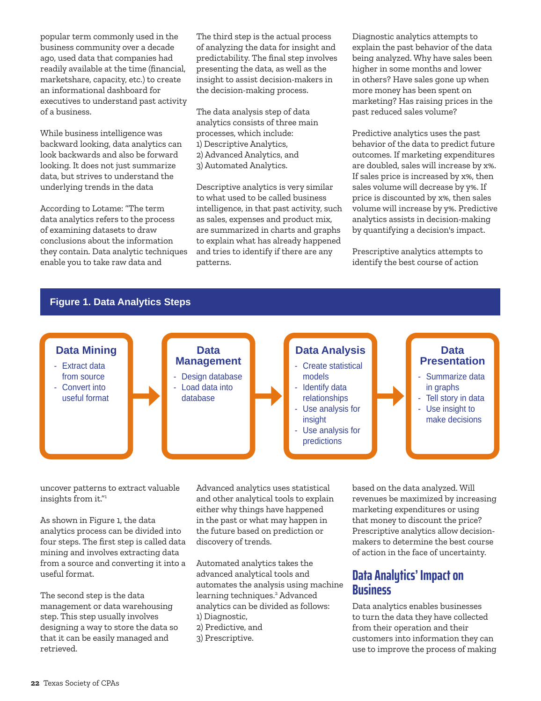popular term commonly used in the business community over a decade ago, used data that companies had readily available at the time (financial, marketshare, capacity, etc.) to create an informational dashboard for executives to understand past activity of a business.

While business intelligence was backward looking, data analytics can look backwards and also be forward looking. It does not just summarize data, but strives to understand the underlying trends in the data

According to Lotame: "The term data analytics refers to the process of examining datasets to draw conclusions about the information they contain. Data analytic techniques enable you to take raw data and

The third step is the actual process of analyzing the data for insight and predictability. The final step involves presenting the data, as well as the insight to assist decision-makers in the decision-making process.

The data analysis step of data analytics consists of three main processes, which include: 1) Descriptive Analytics, 2) Advanced Analytics, and 3) Automated Analytics.

Descriptive analytics is very similar to what used to be called business intelligence, in that past activity, such as sales, expenses and product mix, are summarized in charts and graphs to explain what has already happened and tries to identify if there are any patterns.

Diagnostic analytics attempts to explain the past behavior of the data being analyzed. Why have sales been higher in some months and lower in others? Have sales gone up when more money has been spent on marketing? Has raising prices in the past reduced sales volume?

Predictive analytics uses the past behavior of the data to predict future outcomes. If marketing expenditures are doubled, sales will increase by x%. If sales price is increased by x%, then sales volume will decrease by y%. If price is discounted by x%, then sales volume will increase by y%. Predictive analytics assists in decision-making by quantifying a decision's impact.

Prescriptive analytics attempts to identify the best course of action



uncover patterns to extract valuable insights from it."1

As shown in Figure 1, the data analytics process can be divided into four steps. The first step is called data mining and involves extracting data from a source and converting it into a useful format.

The second step is the data management or data warehousing step. This step usually involves designing a way to store the data so that it can be easily managed and retrieved.

Advanced analytics uses statistical and other analytical tools to explain either why things have happened in the past or what may happen in the future based on prediction or discovery of trends.

Automated analytics takes the advanced analytical tools and automates the analysis using machine learning techniques.<sup>2</sup> Advanced analytics can be divided as follows: 1) Diagnostic, 2) Predictive, and

3) Prescriptive.

based on the data analyzed. Will revenues be maximized by increasing marketing expenditures or using that money to discount the price? Prescriptive analytics allow decisionmakers to determine the best course of action in the face of uncertainty.

#### **Data Analytics' Impact on Business**

Data analytics enables businesses to turn the data they have collected from their operation and their customers into information they can use to improve the process of making

#### **Figure 1. Data Analytics Steps**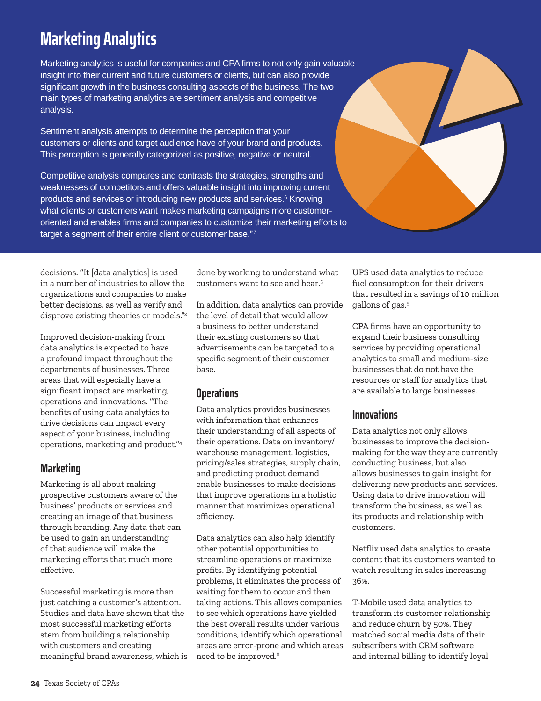# **Marketing Analytics**

Marketing analytics is useful for companies and CPA firms to not only gain valuable insight into their current and future customers or clients, but can also provide significant growth in the business consulting aspects of the business. The two main types of marketing analytics are sentiment analysis and competitive analysis.

Sentiment analysis attempts to determine the perception that your customers or clients and target audience have of your brand and products. This perception is generally categorized as positive, negative or neutral.

Competitive analysis compares and contrasts the strategies, strengths and weaknesses of competitors and offers valuable insight into improving current products and services or introducing new products and services.<sup>6</sup> Knowing what clients or customers want makes marketing campaigns more customeroriented and enables firms and companies to customize their marketing efforts to target a segment of their entire client or customer base."7

decisions. "It [data analytics] is used in a number of industries to allow the organizations and companies to make better decisions, as well as verify and disprove existing theories or models."3

Improved decision-making from data analytics is expected to have a profound impact throughout the departments of businesses. Three areas that will especially have a significant impact are marketing, operations and innovations. "The benefits of using data analytics to drive decisions can impact every aspect of your business, including operations, marketing and product."4

#### **Marketing**

Marketing is all about making prospective customers aware of the business' products or services and creating an image of that business through branding. Any data that can be used to gain an understanding of that audience will make the marketing efforts that much more effective.

Successful marketing is more than just catching a customer's attention. Studies and data have shown that the most successful marketing efforts stem from building a relationship with customers and creating meaningful brand awareness, which is

done by working to understand what customers want to see and hear.5

In addition, data analytics can provide the level of detail that would allow a business to better understand their existing customers so that advertisements can be targeted to a specific segment of their customer base.

#### **Operations**

Data analytics provides businesses with information that enhances their understanding of all aspects of their operations. Data on inventory/ warehouse management, logistics, pricing/sales strategies, supply chain, and predicting product demand enable businesses to make decisions that improve operations in a holistic manner that maximizes operational efficiency.

Data analytics can also help identify other potential opportunities to streamline operations or maximize profits. By identifying potential problems, it eliminates the process of waiting for them to occur and then taking actions. This allows companies to see which operations have yielded the best overall results under various conditions, identify which operational areas are error-prone and which areas need to be improved.8

UPS used data analytics to reduce fuel consumption for their drivers that resulted in a savings of 10 million gallons of gas.9

CPA firms have an opportunity to expand their business consulting services by providing operational analytics to small and medium-size businesses that do not have the resources or staff for analytics that are available to large businesses.

#### **Innovations**

Data analytics not only allows businesses to improve the decisionmaking for the way they are currently conducting business, but also allows businesses to gain insight for delivering new products and services. Using data to drive innovation will transform the business, as well as its products and relationship with customers.

Netflix used data analytics to create content that its customers wanted to watch resulting in sales increasing 36%.

T-Mobile used data analytics to transform its customer relationship and reduce churn by 50%. They matched social media data of their subscribers with CRM software and internal billing to identify loyal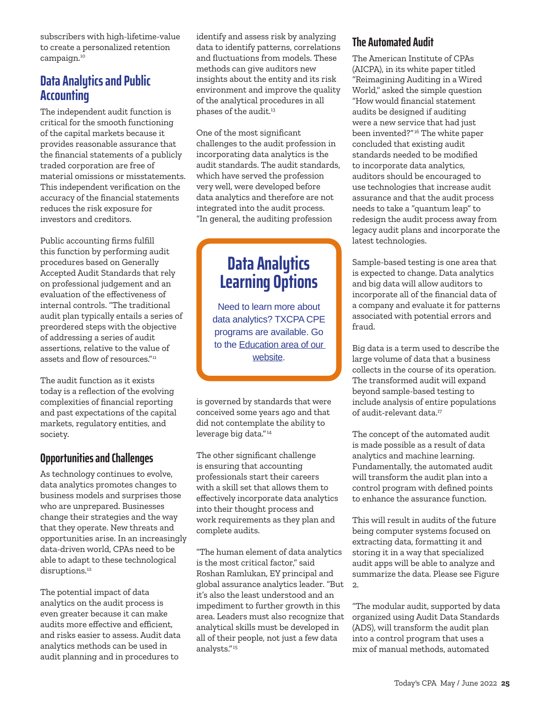subscribers with high-lifetime-value to create a personalized retention campaign.10

#### **Data Analytics and Public Accounting**

The independent audit function is critical for the smooth functioning of the capital markets because it provides reasonable assurance that the financial statements of a publicly traded corporation are free of material omissions or misstatements. This independent verification on the accuracy of the financial statements reduces the risk exposure for investors and creditors.

Public accounting firms fulfill this function by performing audit procedures based on Generally Accepted Audit Standards that rely on professional judgement and an evaluation of the effectiveness of internal controls. "The traditional audit plan typically entails a series of preordered steps with the objective of addressing a series of audit assertions, relative to the value of assets and flow of resources."<sup>11</sup>

The audit function as it exists today is a reflection of the evolving complexities of financial reporting and past expectations of the capital markets, regulatory entities, and society.

#### **Opportunities and Challenges**

As technology continues to evolve, data analytics promotes changes to business models and surprises those who are unprepared. Businesses change their strategies and the way that they operate. New threats and opportunities arise. In an increasingly data-driven world, CPAs need to be able to adapt to these technological disruptions.<sup>12</sup>

The potential impact of data analytics on the audit process is even greater because it can make audits more effective and efficient, and risks easier to assess. Audit data analytics methods can be used in audit planning and in procedures to

identify and assess risk by analyzing data to identify patterns, correlations and fluctuations from models. These methods can give auditors new insights about the entity and its risk environment and improve the quality of the analytical procedures in all phases of the audit.<sup>13</sup>

One of the most significant challenges to the audit profession in incorporating data analytics is the audit standards. The audit standards, which have served the profession very well, were developed before data analytics and therefore are not integrated into the audit process. "In general, the auditing profession

# **Data Analytics Learning Options**

Need to learn more about data analytics? TXCPA CPE programs are available. Go to the Education area of our [website](https://www.tx.cpa/search?#/?search=data%20analytics).

is governed by standards that were conceived some years ago and that did not contemplate the ability to leverage big data."<sup>14</sup>

The other significant challenge is ensuring that accounting professionals start their careers with a skill set that allows them to effectively incorporate data analytics into their thought process and work requirements as they plan and complete audits.

"The human element of data analytics is the most critical factor," said Roshan Ramlukan, EY principal and global assurance analytics leader. "But it's also the least understood and an impediment to further growth in this area. Leaders must also recognize that analytical skills must be developed in all of their people, not just a few data analysts."<sup>15</sup>

#### **The Automated Audit**

The American Institute of CPAs (AICPA), in its white paper titled "Reimagining Auditing in a Wired World," asked the simple question "How would financial statement audits be designed if auditing were a new service that had just been invented?"16 The white paper concluded that existing audit standards needed to be modified to incorporate data analytics, auditors should be encouraged to use technologies that increase audit assurance and that the audit process needs to take a "quantum leap" to redesign the audit process away from legacy audit plans and incorporate the latest technologies.

Sample-based testing is one area that is expected to change. Data analytics and big data will allow auditors to incorporate all of the financial data of a company and evaluate it for patterns associated with potential errors and fraud.

Big data is a term used to describe the large volume of data that a business collects in the course of its operation. The transformed audit will expand beyond sample-based testing to include analysis of entire populations of audit-relevant data.<sup>17</sup>

The concept of the automated audit is made possible as a result of data analytics and machine learning. Fundamentally, the automated audit will transform the audit plan into a control program with defined points to enhance the assurance function.

This will result in audits of the future being computer systems focused on extracting data, formatting it and storing it in a way that specialized audit apps will be able to analyze and summarize the data. Please see Figure 2.

"The modular audit, supported by data organized using Audit Data Standards (ADS), will transform the audit plan into a control program that uses a mix of manual methods, automated